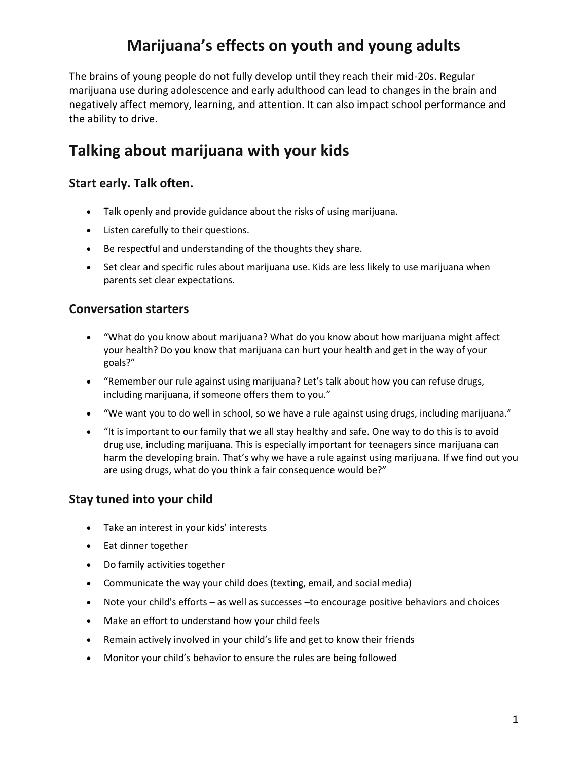## **Marijuana's effects on youth and young adults**

The brains of young people do not fully develop until they reach their mid-20s. Regular marijuana use during adolescence and early adulthood can lead to changes in the brain and negatively affect memory, learning, and attention. It can also impact school performance and the ability to drive.

### **Talking about marijuana with your kids**

### **Start early. Talk often.**

- Talk openly and provide guidance about the risks of using marijuana.
- Listen carefully to their questions.
- Be respectful and understanding of the thoughts they share.
- Set clear and specific rules about marijuana use. Kids are less likely to use marijuana when parents set clear expectations.

#### **Conversation starters**

- "What do you know about marijuana? What do you know about how marijuana might affect your health? Do you know that marijuana can hurt your health and get in the way of your goals?"
- "Remember our rule against using marijuana? Let's talk about how you can refuse drugs, including marijuana, if someone offers them to you."
- "We want you to do well in school, so we have a rule against using drugs, including marijuana."
- "It is important to our family that we all stay healthy and safe. One way to do this is to avoid drug use, including marijuana. This is especially important for teenagers since marijuana can harm the developing brain. That's why we have a rule against using marijuana. If we find out you are using drugs, what do you think a fair consequence would be?"

#### **Stay tuned into your child**

- Take an interest in your kids' interests
- Eat dinner together
- Do family activities together
- Communicate the way your child does (texting, email, and social media)
- Note your child's efforts as well as successes –to encourage positive behaviors and choices
- Make an effort to understand how your child feels
- Remain actively involved in your child's life and get to know their friends
- Monitor your child's behavior to ensure the rules are being followed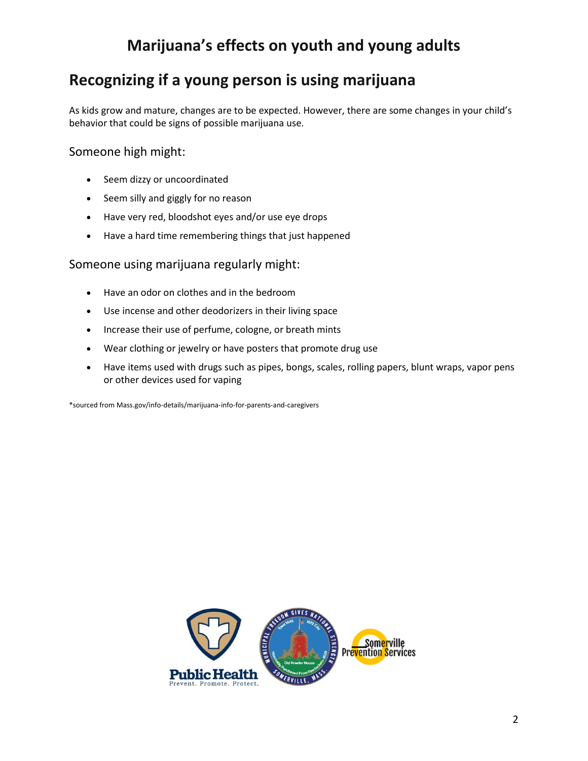## **Marijuana's effects on youth and young adults**

## **Recognizing if a young person is using marijuana**

As kids grow and mature, changes are to be expected. However, there are some changes in your child's behavior that could be signs of possible marijuana use.

### Someone high might:

- Seem dizzy or uncoordinated
- Seem silly and giggly for no reason
- Have very red, bloodshot eyes and/or use eye drops
- Have a hard time remembering things that just happened

#### Someone using marijuana regularly might:

- Have an odor on clothes and in the bedroom
- Use incense and other deodorizers in their living space
- Increase their use of perfume, cologne, or breath mints
- Wear clothing or jewelry or have posters that promote drug use
- Have items used with drugs such as pipes, bongs, scales, rolling papers, blunt wraps, vapor pens or other devices used for vaping

\*sourced from Mass.gov/info-details/marijuana-info-for-parents-and-caregivers